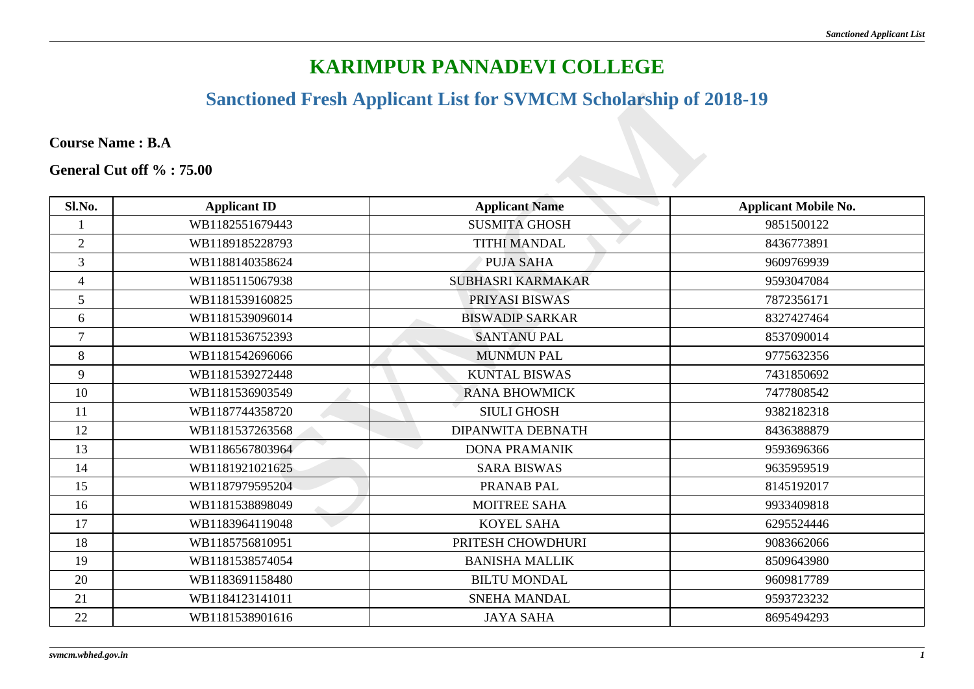#### **Sanctioned Fresh Applicant List for SVMCM Scholarship of 2018-19**

| <b>Sanctioned Fresh Applicant List for SVMCM Scholarship of 2018-19</b> |                     |                          |                             |
|-------------------------------------------------------------------------|---------------------|--------------------------|-----------------------------|
|                                                                         |                     |                          |                             |
| <b>Course Name: B.A</b>                                                 |                     |                          |                             |
| General Cut off %: 75.00                                                |                     |                          |                             |
|                                                                         |                     |                          |                             |
| Sl.No.                                                                  | <b>Applicant ID</b> | <b>Applicant Name</b>    | <b>Applicant Mobile No.</b> |
|                                                                         | WB1182551679443     | <b>SUSMITA GHOSH</b>     | 9851500122                  |
| $\overline{2}$                                                          | WB1189185228793     | <b>TITHI MANDAL</b>      | 8436773891                  |
| $\overline{3}$                                                          | WB1188140358624     | <b>PUJA SAHA</b>         | 9609769939                  |
| $\overline{4}$                                                          | WB1185115067938     | <b>SUBHASRI KARMAKAR</b> | 9593047084                  |
| 5                                                                       | WB1181539160825     | PRIYASI BISWAS           | 7872356171                  |
| 6                                                                       | WB1181539096014     | <b>BISWADIP SARKAR</b>   | 8327427464                  |
| $\overline{7}$                                                          | WB1181536752393     | <b>SANTANU PAL</b>       | 8537090014                  |
| 8                                                                       | WB1181542696066     | <b>MUNMUN PAL</b>        | 9775632356                  |
| 9                                                                       | WB1181539272448     | <b>KUNTAL BISWAS</b>     | 7431850692                  |
| 10                                                                      | WB1181536903549     | <b>RANA BHOWMICK</b>     | 7477808542                  |
| 11                                                                      | WB1187744358720     | <b>SIULI GHOSH</b>       | 9382182318                  |
| 12                                                                      | WB1181537263568     | <b>DIPANWITA DEBNATH</b> | 8436388879                  |
| 13                                                                      | WB1186567803964     | <b>DONA PRAMANIK</b>     | 9593696366                  |
| 14                                                                      | WB1181921021625     | <b>SARA BISWAS</b>       | 9635959519                  |
| 15                                                                      | WB1187979595204     | PRANAB PAL               | 8145192017                  |
| 16                                                                      | WB1181538898049     | MOITREE SAHA             | 9933409818                  |
| 17                                                                      | WB1183964119048     | <b>KOYEL SAHA</b>        | 6295524446                  |
| 18                                                                      | WB1185756810951     | PRITESH CHOWDHURI        | 9083662066                  |
| 19                                                                      | WB1181538574054     | <b>BANISHA MALLIK</b>    | 8509643980                  |
| 20                                                                      | WB1183691158480     | <b>BILTU MONDAL</b>      | 9609817789                  |
| 21                                                                      | WB1184123141011     | SNEHA MANDAL             | 9593723232                  |
| 22                                                                      | WB1181538901616     | <b>JAYA SAHA</b>         | 8695494293                  |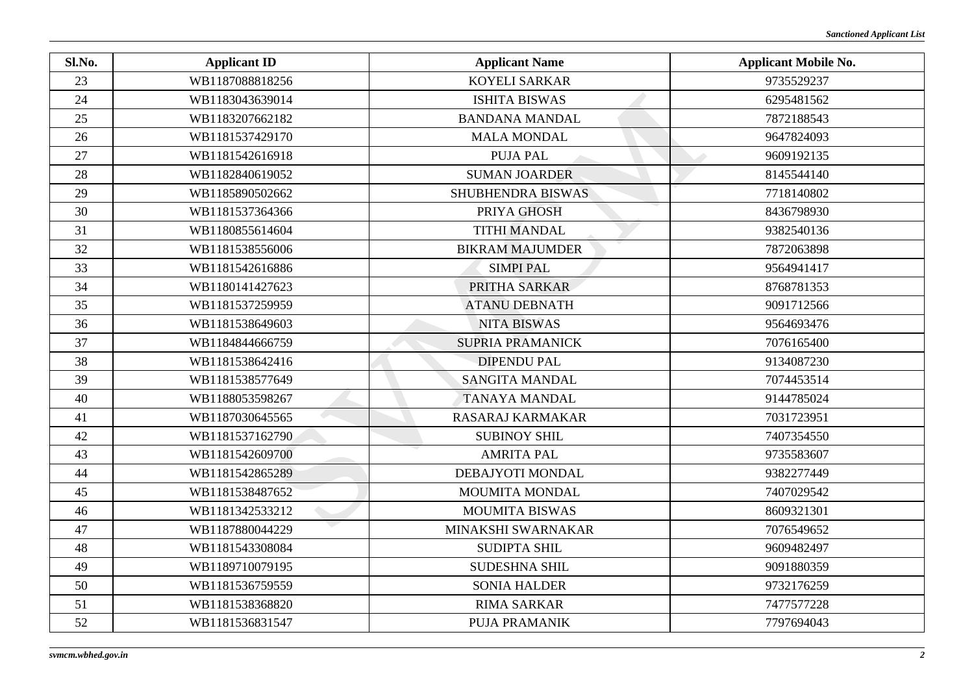| Sl.No. | <b>Applicant ID</b> | <b>Applicant Name</b>   | <b>Applicant Mobile No.</b> |
|--------|---------------------|-------------------------|-----------------------------|
| 23     | WB1187088818256     | <b>KOYELI SARKAR</b>    | 9735529237                  |
| 24     | WB1183043639014     | <b>ISHITA BISWAS</b>    | 6295481562                  |
| 25     | WB1183207662182     | <b>BANDANA MANDAL</b>   | 7872188543                  |
| 26     | WB1181537429170     | <b>MALA MONDAL</b>      | 9647824093                  |
| 27     | WB1181542616918     | <b>PUJA PAL</b>         | 9609192135                  |
| 28     | WB1182840619052     | <b>SUMAN JOARDER</b>    | 8145544140                  |
| 29     | WB1185890502662     | SHUBHENDRA BISWAS       | 7718140802                  |
| 30     | WB1181537364366     | PRIYA GHOSH             | 8436798930                  |
| 31     | WB1180855614604     | <b>TITHI MANDAL</b>     | 9382540136                  |
| 32     | WB1181538556006     | <b>BIKRAM MAJUMDER</b>  | 7872063898                  |
| 33     | WB1181542616886     | <b>SIMPI PAL</b>        | 9564941417                  |
| 34     | WB1180141427623     | PRITHA SARKAR           | 8768781353                  |
| 35     | WB1181537259959     | <b>ATANU DEBNATH</b>    | 9091712566                  |
| 36     | WB1181538649603     | <b>NITA BISWAS</b>      | 9564693476                  |
| 37     | WB1184844666759     | <b>SUPRIA PRAMANICK</b> | 7076165400                  |
| 38     | WB1181538642416     | <b>DIPENDU PAL</b>      | 9134087230                  |
| 39     | WB1181538577649     | <b>SANGITA MANDAL</b>   | 7074453514                  |
| 40     | WB1188053598267     | <b>TANAYA MANDAL</b>    | 9144785024                  |
| 41     | WB1187030645565     | <b>RASARAJ KARMAKAR</b> | 7031723951                  |
| 42     | WB1181537162790     | <b>SUBINOY SHIL</b>     | 7407354550                  |
| 43     | WB1181542609700     | <b>AMRITA PAL</b>       | 9735583607                  |
| 44     | WB1181542865289     | DEBAJYOTI MONDAL        | 9382277449                  |
| 45     | WB1181538487652     | MOUMITA MONDAL          | 7407029542                  |
| 46     | WB1181342533212     | <b>MOUMITA BISWAS</b>   | 8609321301                  |
| 47     | WB1187880044229     | MINAKSHI SWARNAKAR      | 7076549652                  |
| 48     | WB1181543308084     | <b>SUDIPTA SHIL</b>     | 9609482497                  |
| 49     | WB1189710079195     | SUDESHNA SHIL           | 9091880359                  |
| 50     | WB1181536759559     | <b>SONIA HALDER</b>     | 9732176259                  |
| 51     | WB1181538368820     | <b>RIMA SARKAR</b>      | 7477577228                  |
| 52     | WB1181536831547     | PUJA PRAMANIK           | 7797694043                  |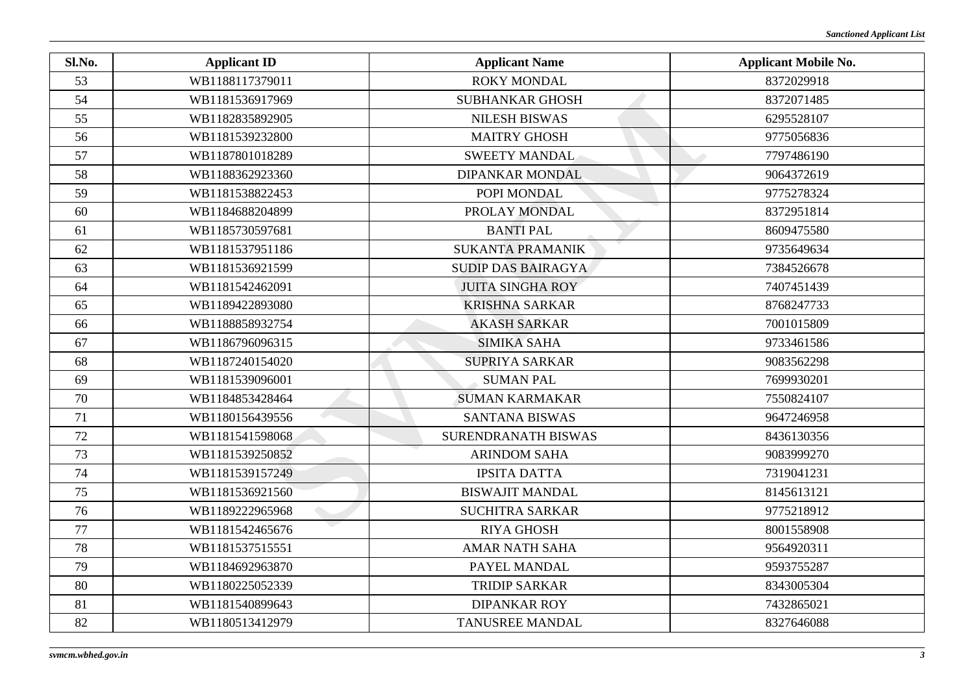| Sl.No. | <b>Applicant ID</b> | <b>Applicant Name</b>     | <b>Applicant Mobile No.</b> |
|--------|---------------------|---------------------------|-----------------------------|
| 53     | WB1188117379011     | <b>ROKY MONDAL</b>        | 8372029918                  |
| 54     | WB1181536917969     | <b>SUBHANKAR GHOSH</b>    | 8372071485                  |
| 55     | WB1182835892905     | <b>NILESH BISWAS</b>      | 6295528107                  |
| 56     | WB1181539232800     | <b>MAITRY GHOSH</b>       | 9775056836                  |
| 57     | WB1187801018289     | <b>SWEETY MANDAL</b>      | 7797486190                  |
| 58     | WB1188362923360     | <b>DIPANKAR MONDAL</b>    | 9064372619                  |
| 59     | WB1181538822453     | POPI MONDAL               | 9775278324                  |
| 60     | WB1184688204899     | PROLAY MONDAL             | 8372951814                  |
| 61     | WB1185730597681     | <b>BANTI PAL</b>          | 8609475580                  |
| 62     | WB1181537951186     | <b>SUKANTA PRAMANIK</b>   | 9735649634                  |
| 63     | WB1181536921599     | <b>SUDIP DAS BAIRAGYA</b> | 7384526678                  |
| 64     | WB1181542462091     | <b>JUITA SINGHA ROY</b>   | 7407451439                  |
| 65     | WB1189422893080     | <b>KRISHNA SARKAR</b>     | 8768247733                  |
| 66     | WB1188858932754     | <b>AKASH SARKAR</b>       | 7001015809                  |
| 67     | WB1186796096315     | <b>SIMIKA SAHA</b>        | 9733461586                  |
| 68     | WB1187240154020     | SUPRIYA SARKAR            | 9083562298                  |
| 69     | WB1181539096001     | <b>SUMAN PAL</b>          | 7699930201                  |
| 70     | WB1184853428464     | <b>SUMAN KARMAKAR</b>     | 7550824107                  |
| 71     | WB1180156439556     | <b>SANTANA BISWAS</b>     | 9647246958                  |
| 72     | WB1181541598068     | SURENDRANATH BISWAS       | 8436130356                  |
| 73     | WB1181539250852     | <b>ARINDOM SAHA</b>       | 9083999270                  |
| 74     | WB1181539157249     | <b>IPSITA DATTA</b>       | 7319041231                  |
| 75     | WB1181536921560     | <b>BISWAJIT MANDAL</b>    | 8145613121                  |
| 76     | WB1189222965968     | <b>SUCHITRA SARKAR</b>    | 9775218912                  |
| 77     | WB1181542465676     | <b>RIYA GHOSH</b>         | 8001558908                  |
| 78     | WB1181537515551     | <b>AMAR NATH SAHA</b>     | 9564920311                  |
| 79     | WB1184692963870     | PAYEL MANDAL              | 9593755287                  |
| 80     | WB1180225052339     | <b>TRIDIP SARKAR</b>      | 8343005304                  |
| 81     | WB1181540899643     | <b>DIPANKAR ROY</b>       | 7432865021                  |
| 82     | WB1180513412979     | <b>TANUSREE MANDAL</b>    | 8327646088                  |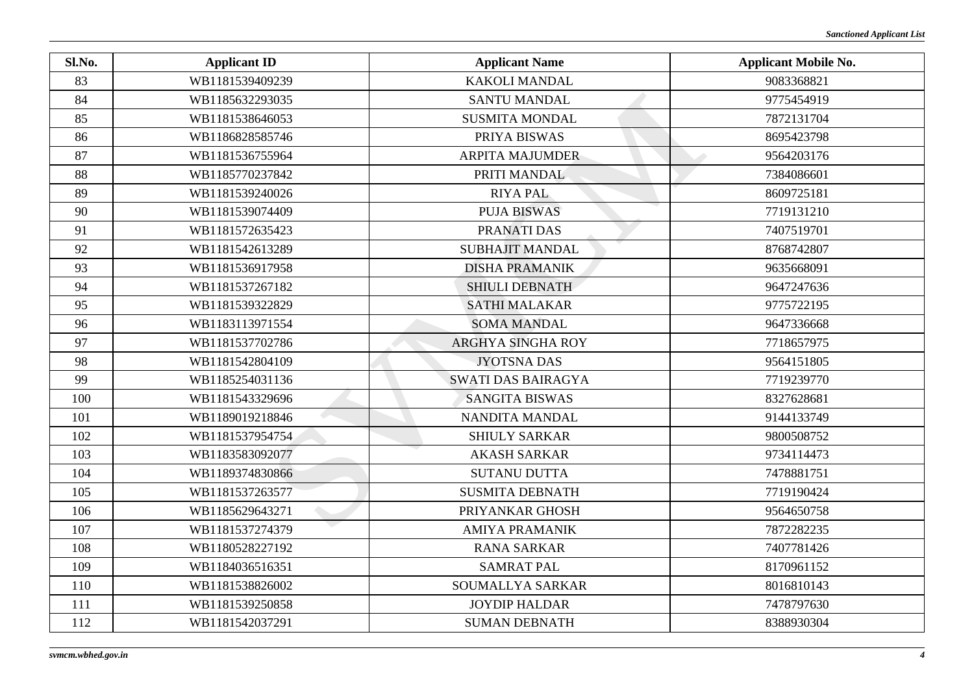| Sl.No. | <b>Applicant ID</b> | <b>Applicant Name</b>     | <b>Applicant Mobile No.</b> |
|--------|---------------------|---------------------------|-----------------------------|
| 83     | WB1181539409239     | <b>KAKOLI MANDAL</b>      | 9083368821                  |
| 84     | WB1185632293035     | SANTU MANDAL              | 9775454919                  |
| 85     | WB1181538646053     | <b>SUSMITA MONDAL</b>     | 7872131704                  |
| 86     | WB1186828585746     | PRIYA BISWAS              | 8695423798                  |
| 87     | WB1181536755964     | <b>ARPITA MAJUMDER</b>    | 9564203176                  |
| 88     | WB1185770237842     | PRITI MANDAL              | 7384086601                  |
| 89     | WB1181539240026     | <b>RIYA PAL</b>           | 8609725181                  |
| 90     | WB1181539074409     | <b>PUJA BISWAS</b>        | 7719131210                  |
| 91     | WB1181572635423     | PRANATI DAS               | 7407519701                  |
| 92     | WB1181542613289     | <b>SUBHAJIT MANDAL</b>    | 8768742807                  |
| 93     | WB1181536917958     | <b>DISHA PRAMANIK</b>     | 9635668091                  |
| 94     | WB1181537267182     | <b>SHIULI DEBNATH</b>     | 9647247636                  |
| 95     | WB1181539322829     | <b>SATHI MALAKAR</b>      | 9775722195                  |
| 96     | WB1183113971554     | <b>SOMA MANDAL</b>        | 9647336668                  |
| 97     | WB1181537702786     | <b>ARGHYA SINGHA ROY</b>  | 7718657975                  |
| 98     | WB1181542804109     | <b>JYOTSNA DAS</b>        | 9564151805                  |
| 99     | WB1185254031136     | <b>SWATI DAS BAIRAGYA</b> | 7719239770                  |
| 100    | WB1181543329696     | <b>SANGITA BISWAS</b>     | 8327628681                  |
| 101    | WB1189019218846     | NANDITA MANDAL            | 9144133749                  |
| 102    | WB1181537954754     | <b>SHIULY SARKAR</b>      | 9800508752                  |
| 103    | WB1183583092077     | <b>AKASH SARKAR</b>       | 9734114473                  |
| 104    | WB1189374830866     | <b>SUTANU DUTTA</b>       | 7478881751                  |
| 105    | WB1181537263577     | <b>SUSMITA DEBNATH</b>    | 7719190424                  |
| 106    | WB1185629643271     | PRIYANKAR GHOSH           | 9564650758                  |
| 107    | WB1181537274379     | <b>AMIYA PRAMANIK</b>     | 7872282235                  |
| 108    | WB1180528227192     | <b>RANA SARKAR</b>        | 7407781426                  |
| 109    | WB1184036516351     | <b>SAMRAT PAL</b>         | 8170961152                  |
| 110    | WB1181538826002     | SOUMALLYA SARKAR          | 8016810143                  |
| 111    | WB1181539250858     | <b>JOYDIP HALDAR</b>      | 7478797630                  |
| 112    | WB1181542037291     | <b>SUMAN DEBNATH</b>      | 8388930304                  |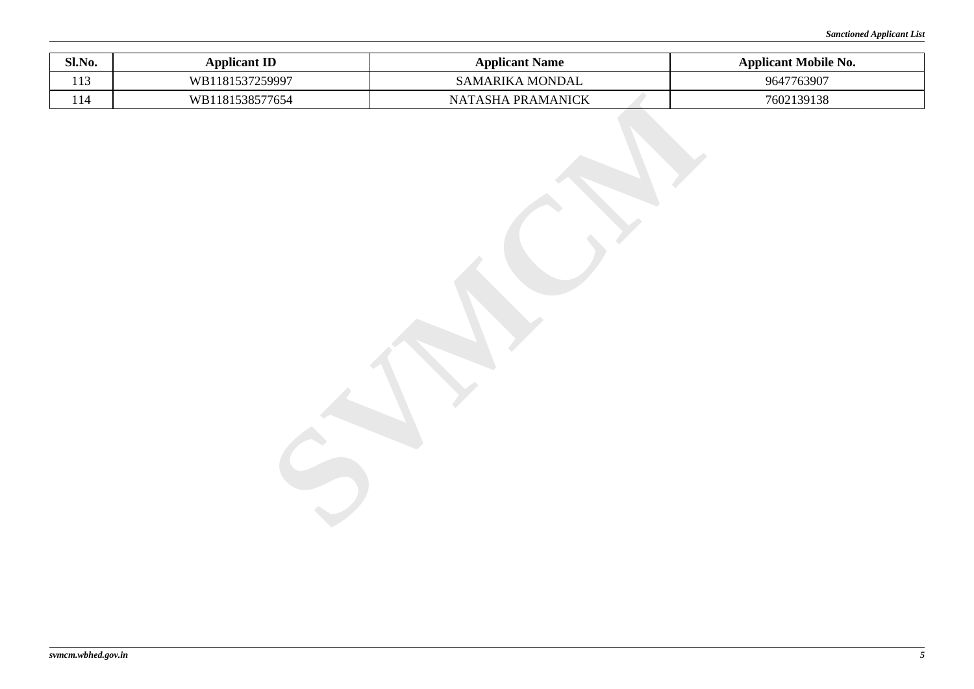| Sl.No. | <b>Applicant ID</b> | <b>Applicant Name</b> | <b>Applicant Mobile No.</b> |
|--------|---------------------|-----------------------|-----------------------------|
| 113    | WB1181537259997     | SAMARIKA MONDAL       | 9647763907                  |
| 114    | WB1181538577654     | NATASHA PRAMANICK     | 7602139138                  |
|        |                     |                       |                             |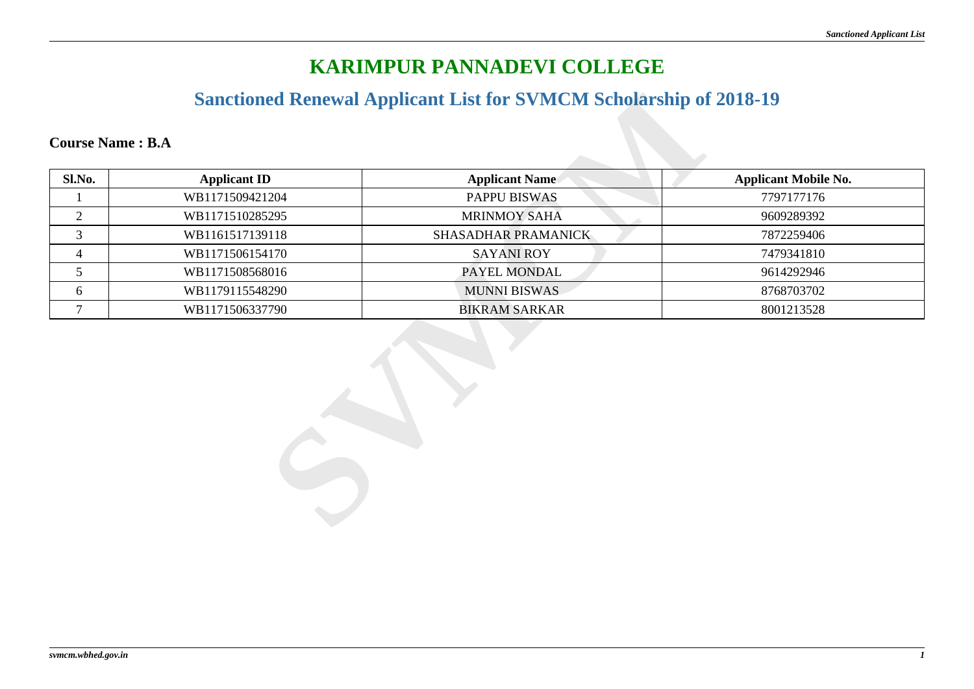#### **Sanctioned Renewal Applicant List for SVMCM Scholarship of 2018-19**

| Sl.No.         | <b>Applicant ID</b> | <b>Applicant Name</b> | <b>Applicant Mobile No.</b> |
|----------------|---------------------|-----------------------|-----------------------------|
|                | WB1171509421204     | PAPPU BISWAS          | 7797177176                  |
| $\overline{2}$ | WB1171510285295     | <b>MRINMOY SAHA</b>   | 9609289392                  |
| $\mathfrak{Z}$ | WB1161517139118     | SHASADHAR PRAMANICK   | 7872259406                  |
| 4              | WB1171506154170     | <b>SAYANI ROY</b>     | 7479341810                  |
| 5 <sup>5</sup> | WB1171508568016     | PAYEL MONDAL          | 9614292946                  |
| 6              | WB1179115548290     | <b>MUNNI BISWAS</b>   | 8768703702                  |
| $\overline{7}$ | WB1171506337790     | <b>BIKRAM SARKAR</b>  | 8001213528                  |
|                |                     |                       |                             |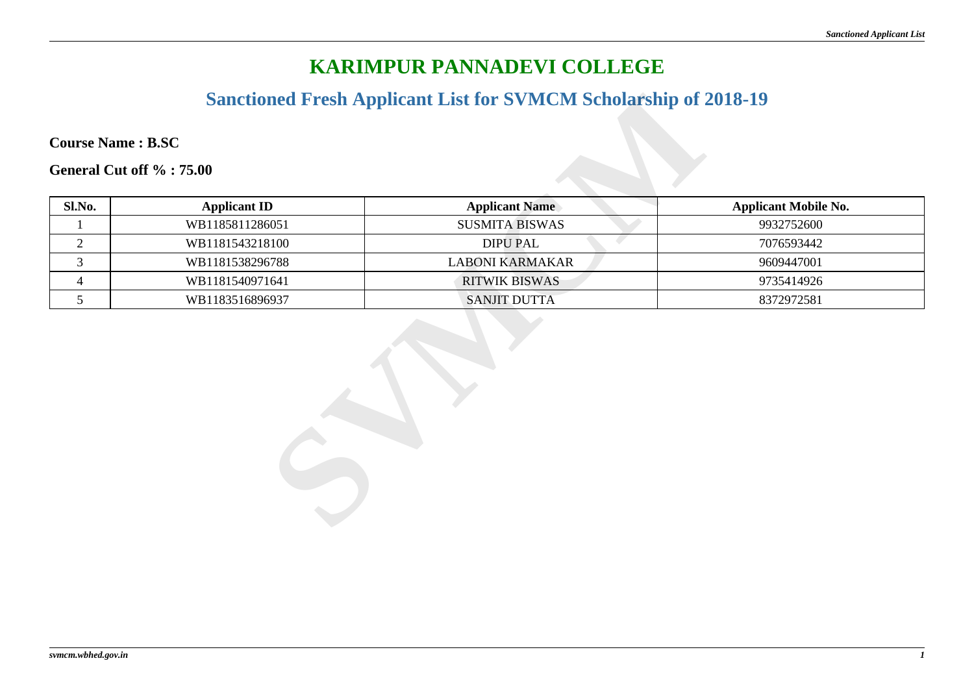#### **Sanctioned Fresh Applicant List for SVMCM Scholarship of 2018-19**

| <b>Course Name: B.SC</b> |                     |                        |                             |  |
|--------------------------|---------------------|------------------------|-----------------------------|--|
| General Cut off %: 75.00 |                     |                        |                             |  |
| Sl.No.                   | <b>Applicant ID</b> | <b>Applicant Name</b>  | <b>Applicant Mobile No.</b> |  |
|                          | WB1185811286051     | <b>SUSMITA BISWAS</b>  | 9932752600                  |  |
| $\overline{2}$           | WB1181543218100     | <b>DIPU PAL</b>        | 7076593442                  |  |
| $\mathfrak{Z}$           | WB1181538296788     | <b>LABONI KARMAKAR</b> | 9609447001                  |  |
| $\overline{4}$           | WB1181540971641     | <b>RITWIK BISWAS</b>   | 9735414926                  |  |
| $\mathfrak{S}$           | WB1183516896937     | <b>SANJIT DUTTA</b>    | 8372972581                  |  |
|                          |                     |                        |                             |  |